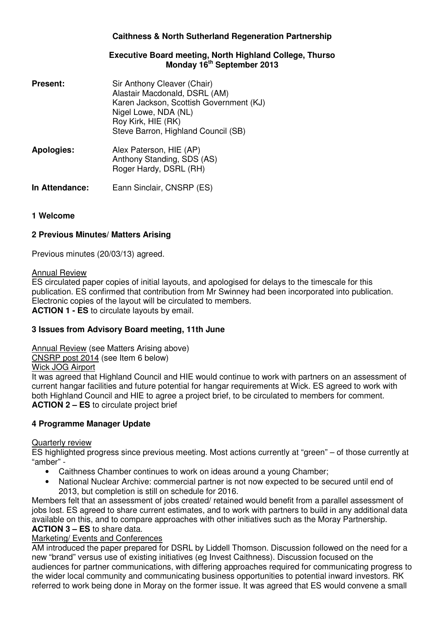# **Caithness & North Sutherland Regeneration Partnership**

### **Executive Board meeting, North Highland College, Thurso Monday 16th September 2013**

- **Present:** Sir Anthony Cleaver (Chair) Alastair Macdonald, DSRL (AM) Karen Jackson, Scottish Government (KJ) Nigel Lowe, NDA (NL) Roy Kirk, HIE (RK) Steve Barron, Highland Council (SB)
- **Apologies:** Alex Paterson, HIE (AP) Anthony Standing, SDS (AS) Roger Hardy, DSRL (RH)
- **In Attendance:** Eann Sinclair, CNSRP (ES)

# **1 Welcome**

## **2 Previous Minutes/ Matters Arising**

Previous minutes (20/03/13) agreed.

### Annual Review

ES circulated paper copies of initial layouts, and apologised for delays to the timescale for this publication. ES confirmed that contribution from Mr Swinney had been incorporated into publication. Electronic copies of the layout will be circulated to members. **ACTION 1 - ES** to circulate layouts by email.

# **3 Issues from Advisory Board meeting, 11th June**

Annual Review (see Matters Arising above)

CNSRP post 2014 (see Item 6 below)

Wick JOG Airport

It was agreed that Highland Council and HIE would continue to work with partners on an assessment of current hangar facilities and future potential for hangar requirements at Wick. ES agreed to work with both Highland Council and HIE to agree a project brief, to be circulated to members for comment. **ACTION 2 – ES** to circulate project brief

# **4 Programme Manager Update**

### **Quarterly review**

ES highlighted progress since previous meeting. Most actions currently at "green" – of those currently at "amber" -

- Caithness Chamber continues to work on ideas around a young Chamber;
- National Nuclear Archive: commercial partner is not now expected to be secured until end of 2013, but completion is still on schedule for 2016.

Members felt that an assessment of jobs created/ retained would benefit from a parallel assessment of jobs lost. ES agreed to share current estimates, and to work with partners to build in any additional data available on this, and to compare approaches with other initiatives such as the Moray Partnership. **ACTION 3 – ES** to share data.

### Marketing/ Events and Conferences

AM introduced the paper prepared for DSRL by Liddell Thomson. Discussion followed on the need for a new "brand" versus use of existing initiatives (eg Invest Caithness). Discussion focused on the audiences for partner communications, with differing approaches required for communicating progress to the wider local community and communicating business opportunities to potential inward investors. RK referred to work being done in Moray on the former issue. It was agreed that ES would convene a small